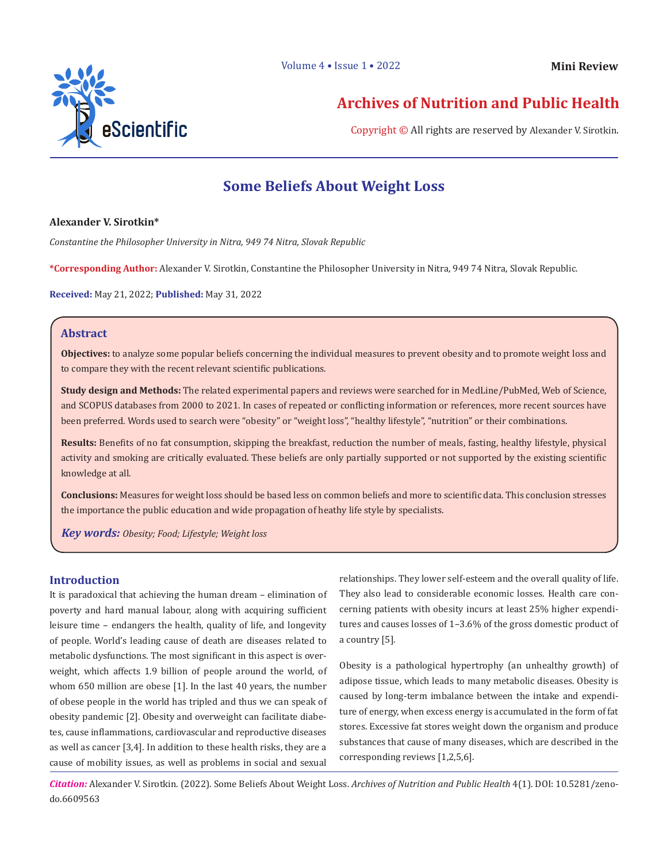

# **Archives of Nutrition and Public Health**

Copyright © All rights are reserved by Alexander V. Sirotkin.

# **Some Beliefs About Weight Loss**

#### **Alexander V. Sirotkin\***

*Constantine the Philosopher University in Nitra, 949 74 Nitra, Slovak Republic*

**\*Corresponding Author:** Alexander V. Sirotkin, Constantine the Philosopher University in Nitra, 949 74 Nitra, Slovak Republic.

**Received:** May 21, 2022; **Published:** May 31, 2022

### **Abstract**

**Objectives:** to analyze some popular beliefs concerning the individual measures to prevent obesity and to promote weight loss and to compare they with the recent relevant scientific publications.

**Study design and Methods:** The related experimental papers and reviews were searched for in MedLine/PubMed, Web of Science, and SCOPUS databases from 2000 to 2021. In cases of repeated or conflicting information or references, more recent sources have been preferred. Words used to search were "obesity" or "weight loss", "healthy lifestyle", "nutrition" or their combinations.

**Results:** Benefits of no fat consumption, skipping the breakfast, reduction the number of meals, fasting, healthy lifestyle, physical activity and smoking are critically evaluated. These beliefs are only partially supported or not supported by the existing scientific knowledge at all.

**Conclusions:** Measures for weight loss should be based less on common beliefs and more to scientific data. This conclusion stresses the importance the public education and wide propagation of heathy life style by specialists.

*Key words: Obesity; Food; Lifestyle; Weight loss*

### **Introduction**

It is paradoxical that achieving the human dream – elimination of poverty and hard manual labour, along with acquiring sufficient leisure time – endangers the health, quality of life, and longevity of people. World's leading cause of death are diseases related to metabolic dysfunctions. The most significant in this aspect is overweight, which affects 1.9 billion of people around the world, of whom 650 million are obese [1]. In the last 40 years, the number of obese people in the world has tripled and thus we can speak of obesity pandemic [2]. Obesity and overweight can facilitate diabetes, cause inflammations, cardiovascular and reproductive diseases as well as cancer [3,4]. In addition to these health risks, they are a cause of mobility issues, as well as problems in social and sexual

relationships. They lower self-esteem and the overall quality of life. They also lead to considerable economic losses. Health care concerning patients with obesity incurs at least 25% higher expenditures and causes losses of 1–3.6% of the gross domestic product of a country [5].

Obesity is a pathological hypertrophy (an unhealthy growth) of adipose tissue, which leads to many metabolic diseases. Obesity is caused by long-term imbalance between the intake and expenditure of energy, when excess energy is accumulated in the form of fat stores. Excessive fat stores weight down the organism and produce substances that cause of many diseases, which are described in the corresponding reviews [1,2,5,6].

*Citation:* Alexander V. Sirotkin. (2022). Some Beliefs About Weight Loss. *Archives of Nutrition and Public Health* 4(1). DOI: 10.5281/zenodo.6609563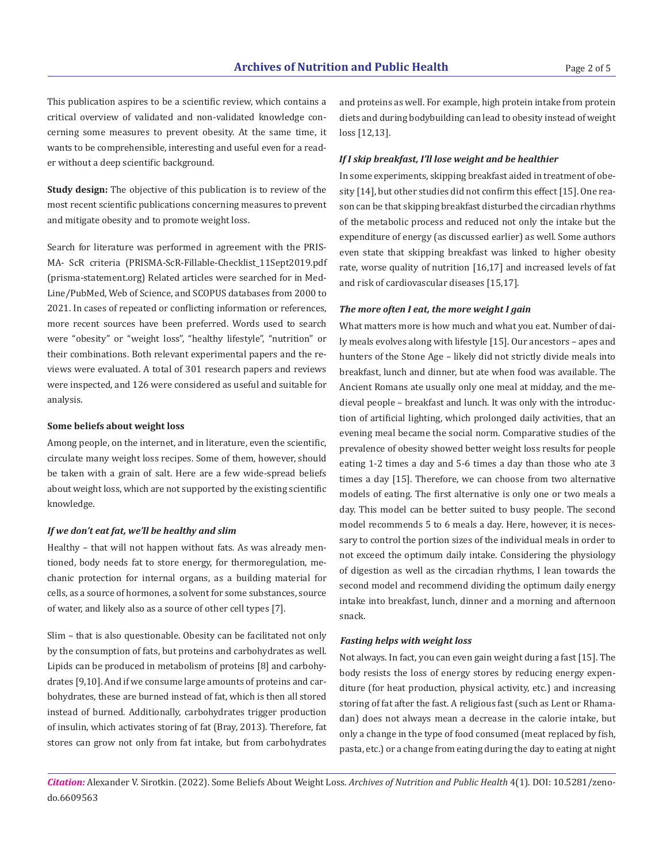This publication aspires to be a scientific review, which contains a critical overview of validated and non-validated knowledge concerning some measures to prevent obesity. At the same time, it wants to be comprehensible, interesting and useful even for a reader without a deep scientific background. *If I skip breakfast, I'll lose weight and be healthier*

**Study design:** The objective of this publication is to review of the most recent scientific publications concerning measures to prevent and mitigate obesity and to promote weight loss.

Search for literature was performed in agreement with the PRIS-MA- ScR criteria (PRISMA-ScR-Fillable-Checklist\_11Sept2019.pdf (prisma-statement.org) Related articles were searched for in Med-Line/PubMed, Web of Science, and SCOPUS databases from 2000 to 2021. In cases of repeated or conflicting information or references, more recent sources have been preferred. Words used to search were "obesity" or "weight loss", "healthy lifestyle", "nutrition" or their combinations. Both relevant experimental papers and the reviews were evaluated. A total of 301 research papers and reviews were inspected, and 126 were considered as useful and suitable for analysis.

#### **Some beliefs about weight loss**

Among people, on the internet, and in literature, even the scientific, circulate many weight loss recipes. Some of them, however, should be taken with a grain of salt. Here are a few wide-spread beliefs about weight loss, which are not supported by the existing scientific knowledge.

#### *If we don't eat fat, we'll be healthy and slim*

Healthy – that will not happen without fats. As was already mentioned, body needs fat to store energy, for thermoregulation, mechanic protection for internal organs, as a building material for cells, as a source of hormones, a solvent for some substances, source of water, and likely also as a source of other cell types [7].

Slim – that is also questionable. Obesity can be facilitated not only by the consumption of fats, but proteins and carbohydrates as well. Lipids can be produced in metabolism of proteins [8] and carbohydrates [9,10]. And if we consume large amounts of proteins and carbohydrates, these are burned instead of fat, which is then all stored instead of burned. Additionally, carbohydrates trigger production of insulin, which activates storing of fat (Bray, 2013). Therefore, fat stores can grow not only from fat intake, but from carbohydrates

and proteins as well. For example, high protein intake from protein diets and during bodybuilding can lead to obesity instead of weight loss [12,13].

In some experiments, skipping breakfast aided in treatment of obesity [14], but other studies did not confirm this effect [15]. One reason can be that skipping breakfast disturbed the circadian rhythms of the metabolic process and reduced not only the intake but the expenditure of energy (as discussed earlier) as well. Some authors even state that skipping breakfast was linked to higher obesity rate, worse quality of nutrition [16,17] and increased levels of fat and risk of cardiovascular diseases [15,17].

#### *The more often I eat, the more weight I gain*

What matters more is how much and what you eat. Number of daily meals evolves along with lifestyle [15]. Our ancestors – apes and hunters of the Stone Age – likely did not strictly divide meals into breakfast, lunch and dinner, but ate when food was available. The Ancient Romans ate usually only one meal at midday, and the medieval people – breakfast and lunch. It was only with the introduction of artificial lighting, which prolonged daily activities, that an evening meal became the social norm. Comparative studies of the prevalence of obesity showed better weight loss results for people eating 1-2 times a day and 5-6 times a day than those who ate 3 times a day [15]. Therefore, we can choose from two alternative models of eating. The first alternative is only one or two meals a day. This model can be better suited to busy people. The second model recommends 5 to 6 meals a day. Here, however, it is necessary to control the portion sizes of the individual meals in order to not exceed the optimum daily intake. Considering the physiology of digestion as well as the circadian rhythms, I lean towards the second model and recommend dividing the optimum daily energy intake into breakfast, lunch, dinner and a morning and afternoon snack.

#### *Fasting helps with weight loss*

Not always. In fact, you can even gain weight during a fast [15]. The body resists the loss of energy stores by reducing energy expenditure (for heat production, physical activity, etc.) and increasing storing of fat after the fast. A religious fast (such as Lent or Rhamadan) does not always mean a decrease in the calorie intake, but only a change in the type of food consumed (meat replaced by fish, pasta, etc.) or a change from eating during the day to eating at night

*Citation:* Alexander V. Sirotkin. (2022). Some Beliefs About Weight Loss. *Archives of Nutrition and Public Health* 4(1). DOI: 10.5281/zenodo.6609563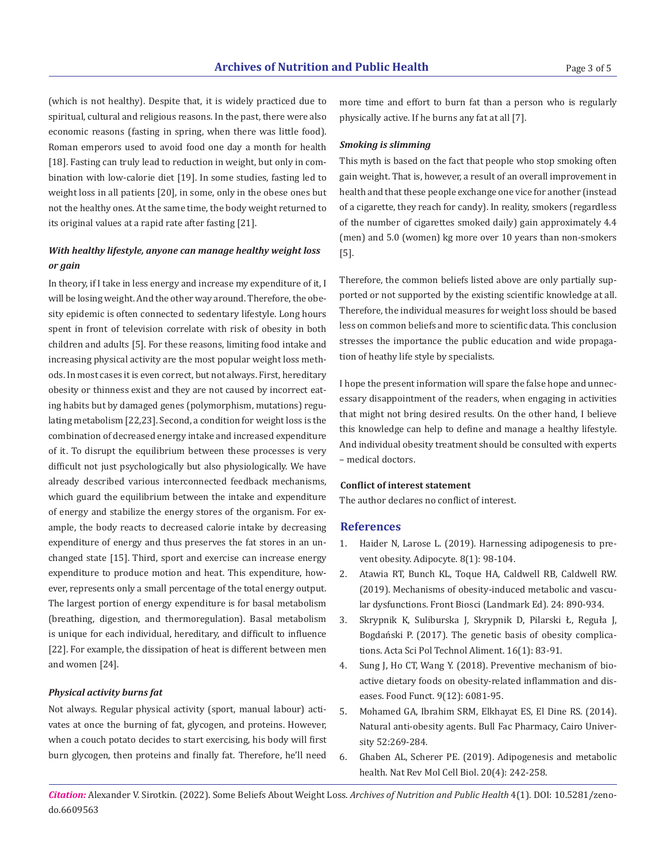(which is not healthy). Despite that, it is widely practiced due to spiritual, cultural and religious reasons. In the past, there were also economic reasons (fasting in spring, when there was little food). Roman emperors used to avoid food one day a month for health [18]. Fasting can truly lead to reduction in weight, but only in combination with low-calorie diet [19]. In some studies, fasting led to weight loss in all patients [20], in some, only in the obese ones but not the healthy ones. At the same time, the body weight returned to its original values at a rapid rate after fasting [21].

## *With healthy lifestyle, anyone can manage healthy weight loss or gain*

In theory, if I take in less energy and increase my expenditure of it, I will be losing weight. And the other way around. Therefore, the obesity epidemic is often connected to sedentary lifestyle. Long hours spent in front of television correlate with risk of obesity in both children and adults [5]. For these reasons, limiting food intake and increasing physical activity are the most popular weight loss methods. In most cases it is even correct, but not always. First, hereditary obesity or thinness exist and they are not caused by incorrect eating habits but by damaged genes (polymorphism, mutations) regulating metabolism [22,23]. Second, a condition for weight loss is the combination of decreased energy intake and increased expenditure of it. To disrupt the equilibrium between these processes is very difficult not just psychologically but also physiologically. We have already described various interconnected feedback mechanisms, which guard the equilibrium between the intake and expenditure of energy and stabilize the energy stores of the organism. For example, the body reacts to decreased calorie intake by decreasing expenditure of energy and thus preserves the fat stores in an unchanged state [15]. Third, sport and exercise can increase energy expenditure to produce motion and heat. This expenditure, however, represents only a small percentage of the total energy output. The largest portion of energy expenditure is for basal metabolism (breathing, digestion, and thermoregulation). Basal metabolism is unique for each individual, hereditary, and difficult to influence [22]. For example, the dissipation of heat is different between men and women [24].

#### *Physical activity burns fat*

Not always. Regular physical activity (sport, manual labour) activates at once the burning of fat, glycogen, and proteins. However, when a couch potato decides to start exercising, his body will first burn glycogen, then proteins and finally fat. Therefore, he'll need more time and effort to burn fat than a person who is regularly physically active. If he burns any fat at all [7].

#### *Smoking is slimming*

This myth is based on the fact that people who stop smoking often gain weight. That is, however, a result of an overall improvement in health and that these people exchange one vice for another (instead of a cigarette, they reach for candy). In reality, smokers (regardless of the number of cigarettes smoked daily) gain approximately 4.4 (men) and 5.0 (women) kg more over 10 years than non-smokers [5].

Therefore, the common beliefs listed above are only partially supported or not supported by the existing scientific knowledge at all. Therefore, the individual measures for weight loss should be based less on common beliefs and more to scientific data. This conclusion stresses the importance the public education and wide propagation of heathy life style by specialists.

I hope the present information will spare the false hope and unnecessary disappointment of the readers, when engaging in activities that might not bring desired results. On the other hand, I believe this knowledge can help to define and manage a healthy lifestyle. And individual obesity treatment should be consulted with experts – medical doctors.

#### **Conflict of interest statement**

The author declares no conflict of interest.

#### **References**

- 1. Haider N, Larose L. (2019). Harnessing adipogenesis to prevent obesity. Adipocyte. 8(1): 98-104.
- 2. Atawia RT, Bunch KL, Toque HA, Caldwell RB, Caldwell RW. (2019). Mechanisms of obesity-induced metabolic and vascular dysfunctions. Front Biosci (Landmark Ed). 24: 890-934.
- 3. Skrypnik K, Suliburska J, Skrypnik D, Pilarski Ł, Reguła J, Bogdański P. (2017). The genetic basis of obesity complications. Acta Sci Pol Technol Aliment. 16(1): 83-91.
- 4. Sung J, Ho CT, Wang Y. (2018). Preventive mechanism of bioactive dietary foods on obesity-related inflammation and diseases. Food Funct. 9(12): 6081-95.
- 5. Mohamed GA, Ibrahim SRM, Elkhayat ES, El Dine RS. (2014). Natural anti-obesity agents. Bull Fac Pharmacy, Cairo University 52:269-284.
- 6. Ghaben AL, Scherer PE. (2019). Adipogenesis and metabolic health. Nat Rev Mol Cell Biol. 20(4): 242-258.

*Citation:* Alexander V. Sirotkin. (2022). Some Beliefs About Weight Loss. *Archives of Nutrition and Public Health* 4(1). DOI: 10.5281/zenodo.6609563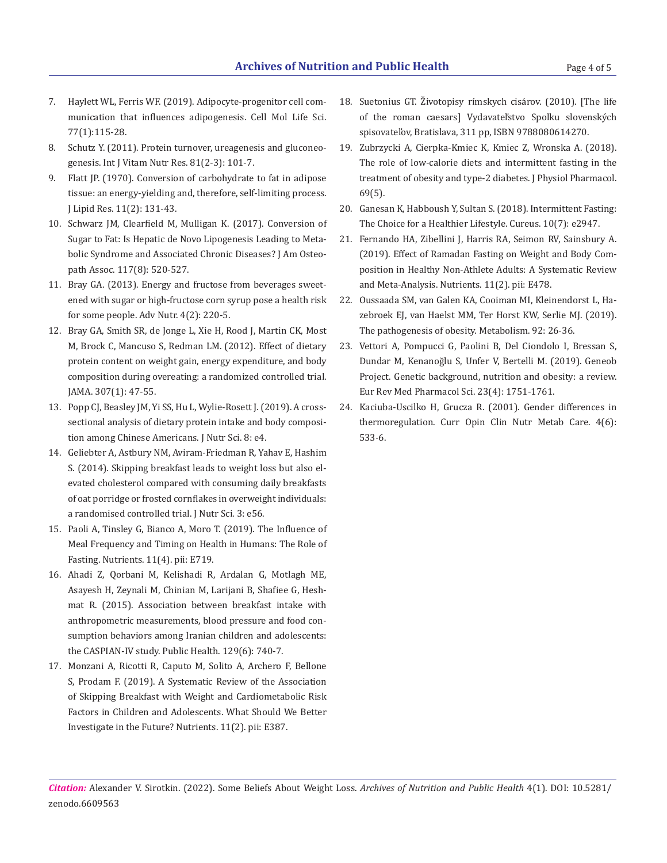- 7. Haylett WL, Ferris WF. (2019). Adipocyte-progenitor cell communication that influences adipogenesis. Cell Mol Life Sci. 77(1):115-28.
- 8. Schutz Y. (2011). Protein turnover, ureagenesis and gluconeogenesis. Int J Vitam Nutr Res. 81(2-3): 101-7.
- 9. Flatt JP. (1970). Conversion of carbohydrate to fat in adipose tissue: an energy-yielding and, therefore, self-limiting process. J Lipid Res. 11(2): 131-43.
- 10. Schwarz JM, Clearfield M, Mulligan K. (2017). Conversion of Sugar to Fat: Is Hepatic de Novo Lipogenesis Leading to Metabolic Syndrome and Associated Chronic Diseases? J Am Osteopath Assoc. 117(8): 520-527.
- 11. Bray GA. (2013). Energy and fructose from beverages sweetened with sugar or high-fructose corn syrup pose a health risk for some people. Adv Nutr. 4(2): 220-5.
- 12. Bray GA, Smith SR, de Jonge L, Xie H, Rood J, Martin CK, Most M, Brock C, Mancuso S, Redman LM. (2012). Effect of dietary protein content on weight gain, energy expenditure, and body composition during overeating: a randomized controlled trial. JAMA. 307(1): 47-55.
- 13. Popp CJ, Beasley JM, Yi SS, Hu L, Wylie-Rosett J. (2019). A crosssectional analysis of dietary protein intake and body composition among Chinese Americans. J Nutr Sci. 8: e4.
- 14. Geliebter A, Astbury NM, Aviram-Friedman R, Yahav E, Hashim S. (2014). Skipping breakfast leads to weight loss but also elevated cholesterol compared with consuming daily breakfasts of oat porridge or frosted cornflakes in overweight individuals: a randomised controlled trial. J Nutr Sci. 3: e56.
- 15. Paoli A, Tinsley G, Bianco A, Moro T. (2019). The Influence of Meal Frequency and Timing on Health in Humans: The Role of Fasting. Nutrients. 11(4). pii: E719.
- 16. Ahadi Z, Qorbani M, Kelishadi R, Ardalan G, Motlagh ME, Asayesh H, Zeynali M, Chinian M, Larijani B, Shafiee G, Heshmat R. (2015). Association between breakfast intake with anthropometric measurements, blood pressure and food consumption behaviors among Iranian children and adolescents: the CASPIAN-IV study. Public Health. 129(6): 740-7.
- 17. Monzani A, Ricotti R, Caputo M, Solito A, Archero F, Bellone S, Prodam F. (2019). A Systematic Review of the Association of Skipping Breakfast with Weight and Cardiometabolic Risk Factors in Children and Adolescents. What Should We Better Investigate in the Future? Nutrients. 11(2). pii: E387.
- 18. Suetonius GT. Životopisy rímskych cisárov. (2010). [The life of the roman caesars] Vydavateľstvo Spolku slovenských spisovateľov, Bratislava, 311 pp, ISBN 9788080614270.
- 19. Zubrzycki A, Cierpka-Kmiec K, Kmiec Z, Wronska A. (2018). The role of low-calorie diets and intermittent fasting in the treatment of obesity and type-2 diabetes. J Physiol Pharmacol. 69(5).
- 20. Ganesan K, Habboush Y, Sultan S. (2018). Intermittent Fasting: The Choice for a Healthier Lifestyle. Cureus. 10(7): e2947.
- 21. Fernando HA, Zibellini J, Harris RA, Seimon RV, Sainsbury A. (2019). Effect of Ramadan Fasting on Weight and Body Composition in Healthy Non-Athlete Adults: A Systematic Review and Meta-Analysis. Nutrients. 11(2). pii: E478.
- 22. Oussaada SM, van Galen KA, Cooiman MI, Kleinendorst L, Hazebroek EJ, van Haelst MM, Ter Horst KW, Serlie MJ. (2019). The pathogenesis of obesity. Metabolism. 92: 26-36.
- 23. Vettori A, Pompucci G, Paolini B, Del Ciondolo I, Bressan S, Dundar M, Kenanoğlu S, Unfer V, Bertelli M. (2019). Geneob Project. Genetic background, nutrition and obesity: a review. Eur Rev Med Pharmacol Sci. 23(4): 1751-1761.
- 24. Kaciuba-Uscilko H, Grucza R. (2001). Gender differences in thermoregulation. Curr Opin Clin Nutr Metab Care. 4(6): 533-6.